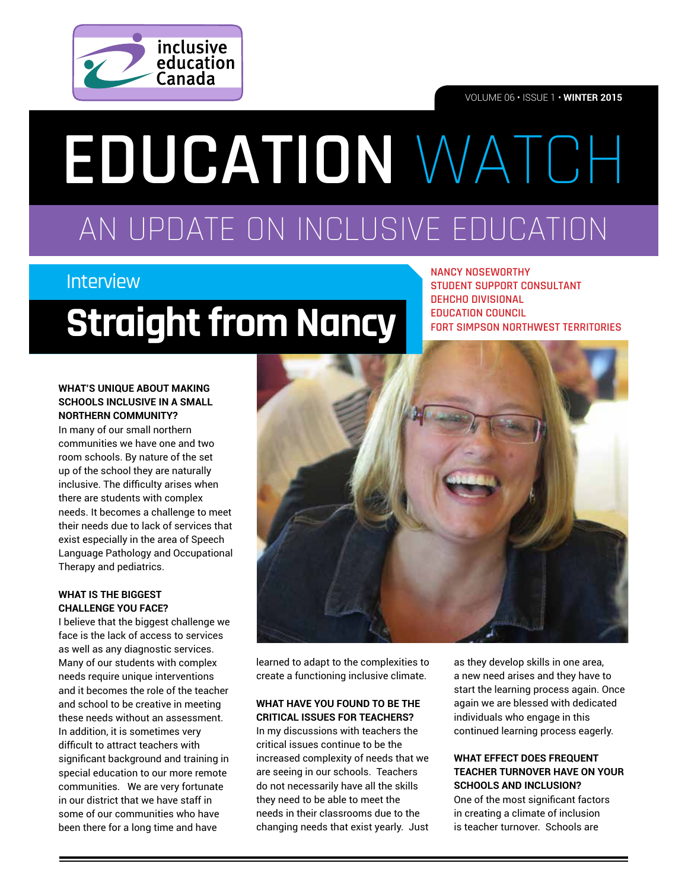

VOLUME 06 • ISSUE 1 • **WINTER 2015**

# AN UPDATE ON INCLUSIVE EDUCATION **EDUCATION** WATCH

### Interview

## **Straight from Nancy**

**NANCY NOSEWORTHY STUDENT SUPPORT CONSULTANT DEHCHO DIVISIONAL EDUCATION COUNCIL FORT SIMPSON NORTHWEST TERRITORIES**

#### **WHAT'S UNIQUE ABOUT MAKING SCHOOLS INCLUSIVE IN A SMALL NORTHERN COMMUNITY?**

In many of our small northern communities we have one and two room schools. By nature of the set up of the school they are naturally inclusive. The difficulty arises when there are students with complex needs. It becomes a challenge to meet their needs due to lack of services that exist especially in the area of Speech Language Pathology and Occupational Therapy and pediatrics.

#### **WHAT IS THE BIGGEST CHALLENGE YOU FACE?**

I believe that the biggest challenge we face is the lack of access to services as well as any diagnostic services. Many of our students with complex needs require unique interventions and it becomes the role of the teacher and school to be creative in meeting these needs without an assessment. In addition, it is sometimes very difficult to attract teachers with signifcant background and training in special education to our more remote communities. We are very fortunate in our district that we have staff in some of our communities who have been there for a long time and have



learned to adapt to the complexities to create a functioning inclusive climate.

#### **WHAT HAVE YOU FOUND TO BE THE CRITICAL ISSUES FOR TEACHERS?**

In my discussions with teachers the critical issues continue to be the increased complexity of needs that we are seeing in our schools. Teachers do not necessarily have all the skills they need to be able to meet the needs in their classrooms due to the changing needs that exist yearly. Just

as they develop skills in one area, a new need arises and they have to start the learning process again. Once again we are blessed with dedicated individuals who engage in this continued learning process eagerly.

#### **WHAT EFFECT DOES FREQUENT TEACHER TURNOVER HAVE ON YOUR SCHOOLS AND INCLUSION?**

One of the most signifcant factors in creating a climate of inclusion is teacher turnover. Schools are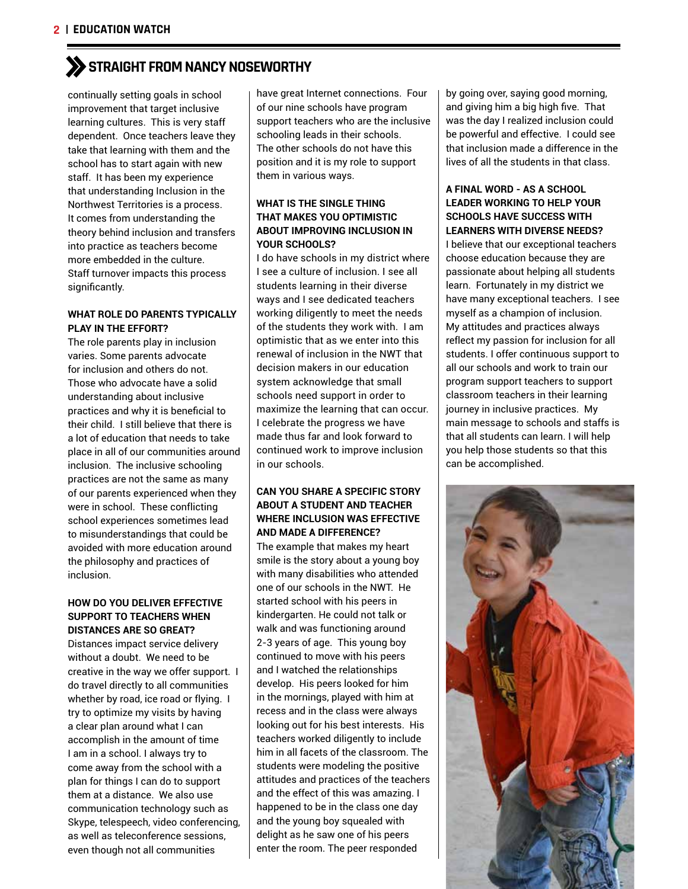### **STRAIGHT FROM NANCY NOSEWORTHY**

continually setting goals in school improvement that target inclusive learning cultures. This is very staff dependent. Once teachers leave they take that learning with them and the school has to start again with new staff. It has been my experience that understanding Inclusion in the Northwest Territories is a process. It comes from understanding the theory behind inclusion and transfers into practice as teachers become more embedded in the culture. Staff turnover impacts this process significantly.

#### **WHAT ROLE DO PARENTS TYPICALLY PLAY IN THE EFFORT?**

The role parents play in inclusion varies. Some parents advocate for inclusion and others do not. Those who advocate have a solid understanding about inclusive practices and why it is beneficial to their child. I still believe that there is a lot of education that needs to take place in all of our communities around inclusion. The inclusive schooling practices are not the same as many of our parents experienced when they were in school. These conflicting school experiences sometimes lead to misunderstandings that could be avoided with more education around the philosophy and practices of inclusion.

#### **HOW DO YOU DELIVER EFFECTIVE SUPPORT TO TEACHERS WHEN DISTANCES ARE SO GREAT?**

Distances impact service delivery without a doubt. We need to be creative in the way we offer support. I do travel directly to all communities whether by road, ice road or flying. I try to optimize my visits by having a clear plan around what I can accomplish in the amount of time I am in a school. I always try to come away from the school with a plan for things I can do to support them at a distance. We also use communication technology such as Skype, telespeech, video conferencing, as well as teleconference sessions, even though not all communities

have great Internet connections. Four of our nine schools have program support teachers who are the inclusive schooling leads in their schools. The other schools do not have this position and it is my role to support them in various ways.

#### **WHAT IS THE SINGLE THING THAT MAKES YOU OPTIMISTIC ABOUT IMPROVING INCLUSION IN YOUR SCHOOLS?**

I do have schools in my district where I see a culture of inclusion. I see all students learning in their diverse ways and I see dedicated teachers working diligently to meet the needs of the students they work with. I am optimistic that as we enter into this renewal of inclusion in the NWT that decision makers in our education system acknowledge that small schools need support in order to maximize the learning that can occur. I celebrate the progress we have made thus far and look forward to continued work to improve inclusion in our schools.

#### **CAN YOU SHARE A SPECIFIC STORY ABOUT A STUDENT AND TEACHER WHERE INCLUSION WAS EFFECTIVE AND MADE A DIFFERENCE?**

The example that makes my heart smile is the story about a young boy with many disabilities who attended one of our schools in the NWT. He started school with his peers in kindergarten. He could not talk or walk and was functioning around 2-3 years of age. This young boy continued to move with his peers and I watched the relationships develop. His peers looked for him in the mornings, played with him at recess and in the class were always looking out for his best interests. His teachers worked diligently to include him in all facets of the classroom. The students were modeling the positive attitudes and practices of the teachers and the effect of this was amazing. I happened to be in the class one day and the young boy squealed with delight as he saw one of his peers enter the room. The peer responded

by going over, saying good morning, and giving him a big high fve. That was the day I realized inclusion could be powerful and effective. I could see that inclusion made a difference in the lives of all the students in that class.

#### **A FINAL WORD - AS A SCHOOL LEADER WORKING TO HELP YOUR SCHOOLS HAVE SUCCESS WITH LEARNERS WITH DIVERSE NEEDS?**

I believe that our exceptional teachers choose education because they are passionate about helping all students learn. Fortunately in my district we have many exceptional teachers. I see myself as a champion of inclusion. My attitudes and practices always reflect my passion for inclusion for all students. I offer continuous support to all our schools and work to train our program support teachers to support classroom teachers in their learning journey in inclusive practices. My main message to schools and staffs is that all students can learn. I will help you help those students so that this can be accomplished.

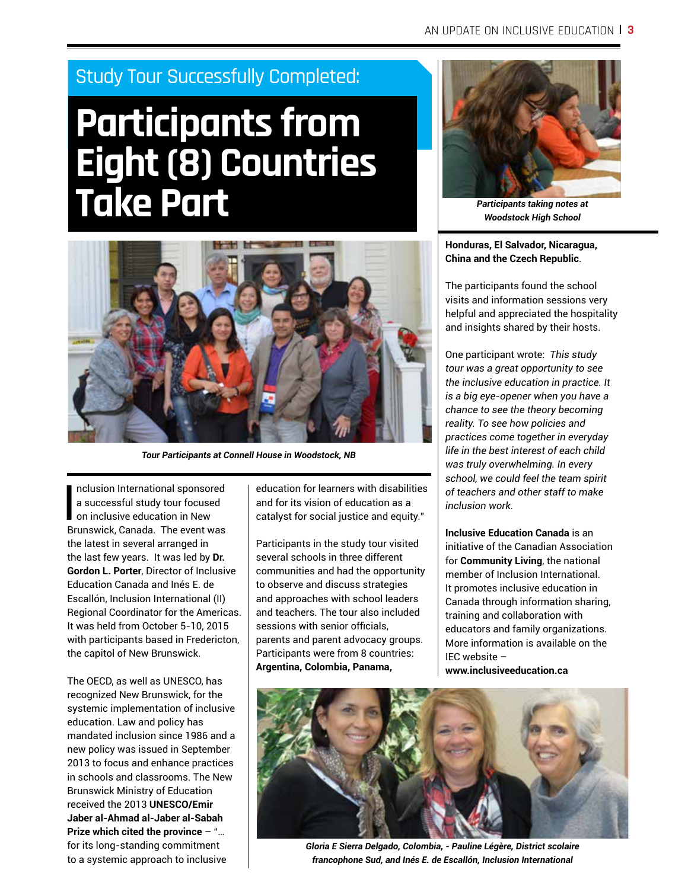### Study Tour Successfully Completed:

## **Participants from Eight (8) Countries Take Part**



*Tour Participants at Connell House in Woodstock, NB*

I<br>Pr nclusion International sponsored a successful study tour focused on inclusive education in New Brunswick, Canada. The event was the latest in several arranged in the last few years. It was led by **Dr. Gordon L. Porter**, Director of Inclusive Education Canada and Inés E. de Escallón, Inclusion International (II) Regional Coordinator for the Americas. It was held from October 5-10, 2015 with participants based in Fredericton, the capitol of New Brunswick.

The OECD, as well as UNESCO, has recognized New Brunswick, for the systemic implementation of inclusive education. Law and policy has mandated inclusion since 1986 and a new policy was issued in September 2013 to focus and enhance practices in schools and classrooms. The New Brunswick Ministry of Education received the 2013 **UNESCO/Emir Jaber al-Ahmad al-Jaber al-Sabah Prize which cited the province** – "… for its long-standing commitment to a systemic approach to inclusive

education for learners with disabilities and for its vision of education as a catalyst for social justice and equity."

Participants in the study tour visited several schools in three different communities and had the opportunity to observe and discuss strategies and approaches with school leaders and teachers. The tour also included sessions with senior officials. parents and parent advocacy groups. Participants were from 8 countries: **Argentina, Colombia, Panama,** 



*Participants taking notes at Woodstock High School*

**Honduras, El Salvador, Nicaragua, China and the Czech Republic**.

The participants found the school visits and information sessions very helpful and appreciated the hospitality and insights shared by their hosts.

One participant wrote: *This study tour was a great opportunity to see the inclusive education in practice. It is a big eye-opener when you have a chance to see the theory becoming reality. To see how policies and practices come together in everyday life in the best interest of each child was truly overwhelming. In every school, we could feel the team spirit of teachers and other staff to make inclusion work.*

**Inclusive Education Canada** is an initiative of the Canadian Association for **Community Living**, the national member of Inclusion International. It promotes inclusive education in Canada through information sharing, training and collaboration with educators and family organizations. More information is available on the IEC website –

**www.inclusiveeducation.ca** 



*Gloria E Sierra Delgado, Colombia, - Pauline Légère, District scolaire francophone Sud, and Inés E. de Escallón, Inclusion International*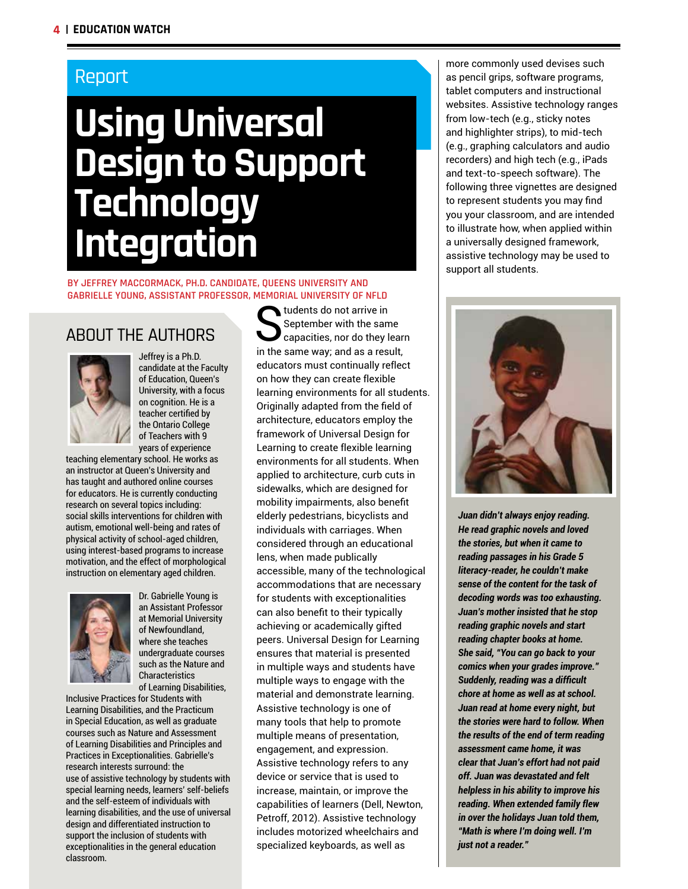### Report

## **Using Universal Design to Support**  4 **Technology**  Integration they could produce with handwritten organizers (Englert, Wu and higher papers than 1970). They could provide w access to laptops and computerized devices does not ensure engagement and increased prompts may enable students to produce better organized and higher quality papers than

#### BY JEFFREY MACCORMACK, PH.D. CANDIDATE, QUEENS UNIVERSITY AND GABRIELLE YOUNG, ASSISTANT PROFESSOR, MEMORIAL UNIVERSITY OF NFLD Zhao, Dunsmore, Collings, & Woblers, 2007).  $\overline{\text{S}}$ RIELLE-YUUNG, ASSISTANT PRUFESSUR, MEMURIAL UNIVERSITY (



ABOUT THE AUTHORS<br> **September with the same**<br> **September with the same**<br> **September with the same**<br> **September with the same**<br> **September with the same**<br> **September with the same**<br> **September with the same**<br> **September wit** September with the same stories that are longer, more complex, and contain fewer errors than when not using the capacities, nor do they learn educators must continually reflect on how they can create flexible learning environments for all students. Originally adapted from the feld of architecture, educators employ the framework of Universal Design for Learning to create flexible learning ABOUT THE AUTHORS  $\sum_{\text{capacities, nor do}}^{\text{September with th}}$ candidate at the Faculty of Education, Queen's University, with a focus on cognition. He is a teacher certified by, the Ontario College  $of$   $J$   $e$   $a$   $b$   $e$   $f$   $s$   $i$   $i$   $i$   $b$   $i$ spoken words used. Planning for difference means of difference means of difference means  $\sum_{n=1}^{\infty}$  $t_{\rm eff}$  students can be that are essential from the tools that are essential for a few. When coupled with  $\alpha$ Queen's Huiversity, with a figure on cogn**e idulce tor serinu<br>certified by the Ontario College of Teachers with 9 years of<br>experience to the Ontario College of Teachers with 9 years of influersity, with a foeus**ity and has puch and authory in<br>online courses for educators. He is currently conducing<br>He GAU Hi Que the distributions: socion right right weiden<br>**Bachen cevinied:by**, emotional well-being and r physical activity of school-aged children, **alsoly in east under children.**<br>programs to increase motivation, and the effect of **wards** of **children.**<br>morphological with **B** on on elementary aged Unity of K  $\blacksquare$  ABUUT THE AUTHURS  $\blacksquare$  capacities, nor c  $\blacksquare$  **Deffreys & HPh Condidate at the Faculty of Education**,  $\blacksquare$  way, and  $\blacksquare$ trained to meaningfully integrate technology into academic contexts (Dell, Newton, &  $U_{\text{max}}$  Design supports the learning support  $\sum_{i=1}^{n} U_{\text{max}}$  and  $\sum_{i=1}^{n} U_{\text{max}}$  and  $\sum_{i=1}^{n} U_{\text{max}}$  $\mathbf{B}$  bringing unduction  $\mathbf{y}$ , which is to the strategies used. Planning for equations. He is currently conducting that all students can be neglected from the top of the top of the top of the top of the top of the top of the top of the top of the top of the top of the top of the top of the top of the top of the top of the top of the to **purpose functions in teacher centified by**, emotional well-being and rates of possibilities that can have a tool **Author Bios**

using interest-based programs to increase the management operator of the contract of the contract of the contra<br>motivation, and the effect programs to increase appoint the infinite of the state publically me many and the with exceptionalities in the general education classroom. The technological years of experience teaching elementary school. He works as an instructor at Queen's University and has taught and authored online courses for educators. He is cunnently connections research on several <del>topics including</del> social skills interventions for children with autism, emotional well-being and rates of physical activity of school-aged children, using interest-based **programs de indicated set** ion we clementary as edd-identificant<br>motivation, and the effect of inorphological poor the inclusion Watch-Riade C Dr. Gabrielle Young is an Assistant Professor at Memorial University of Newfoundland, where she teaches undergraduate courses such as the Nature and Characteristics of Learning Disabilities, Inclusive Practices for Students with lopidsvinehudingformdduchtorsculichssofonidtylynoppan<br>Protect Consequential Consequent Consequent Consequent Consequent Consequent Consequent Consequent Consequent<br>Protect Consequent Consequent Consequent Consequent Conseq Jeffrey is a Ph.D. candidate at the Faculty of Education, Queen's University, with a focus on cognition. He is a teacher certified by the Ontario College appearance with 9 years of experience courses elementary school. He works as an instructor and has taken at the University and the University and authored onling in eduction for educators. He is solution when a little l rese archad margarithments in cluding constructions in the wentions for children with autism, emotional well-being and rates of physical activity of school-aged children, using interest-based programs to child left, anothestique and the effect of h

accommodations that are necessary for students with exceptionalities cam also benefict to their typically at Memorial University es, Inclusive Practices for Students with cyprocing where she teaches e courses such peerasul and a mersed shearion for Learning ensures that material is presented in multiple ways and students have Characteristics self-beliefs and the self-decoracteristic with the Dr. Gabrielle Young is an Assistant Professor of Newfoundland,1 undergraduate courses such as the Nature and Dr. Gabrielle Young is an Assistant Professor at Memorial University of Newfoundland, where she teaches undergraduate courses such as the Nature orloche fact trost re-**Manahing Diversity**es, Inclusive Practices for Students with Newtoun Diand lities, and the Practicum in Special Education, Learning Disabilities and Principles and Practices in Exceptionalities. Gabrielle's research interests surround: the use of assistive technology by studenty with special searnings wen meng blue abilities, and the use of universal design and

of Learning Disabilities, and the use of universal design and<br>for Rtimlemfetwith struction to supported in and demonstrate learning. Learning Disabilities, a<del>nd the Practicliti</del>es in the gene**Ass istime technolo**gy is one of Inclusive Practices for Students with differentiated the struction to support the inclusion of students

in Special Education, as well as graduate courses such as Nature and Assessment of Learning Disabilities and Principles and Practices in Exceptionalities. Gabrielle's research interests surround: the use of assistive technology by students with special learning needs, learners' self-beliefs and the self-esteem of individuals with learning disabilities, and the use of universal design and differentiated instruction to support the inclusion of students with exceptionalities in the general education classroom.

many tools that help to promote multiple means of presentation, engagement, and expression. Assistive technology refers to any device or service that is used to increase, maintain, or improve the capabilities of learners (Dell, Newton, Petroff, 2012). Assistive technology includes motorized wheelchairs and specialized keyboards, as well as

environments for all students. When applied to architecture, curb cuts in sidewalks, which are designed for msobility impairments, also benefit elderly pedestrians, bicyclists and individuals with carriages. When **conshdered t**hrough an educational

 $\parallel$  more commonly used devises such  $\vert$  as pencil grips, software programs, tablet computers and instructional ablet computers and instructional<br>websites. Assistive technology ranges websites. Assistive technology ranges<br>from low-tech (e.g., sticky notes and highlighter strips), to mid-tech  $\left[$  and myningment employ, to this coefficient  $\epsilon$ .  $\left( \begin{array}{c} 0 & 0 \end{array} \right)$  and high tech (e.g., iPads and text-to-speech software). The  $\parallel$  following three vignettes are designed  $\parallel$  to represent students you may find  $\parallel$  you your classroom, and are intended  $\parallel$  to illustrate how, when applied within  $\parallel$  a universally designed framework,  $\parallel$  assistive technology may be used to  $\, \overline{\hspace{0.2cm} }$  support all students. bicyclists and individuals with carriages. When considered through an educational lens,

sidewalks, which are designed for mobility impairments, also benefit elderly pedestrians,



*Juan didn't always enjoy reading.*  **improve his reading and seading in over the reading extending in order the holiday in order the holiday of the holidays Holidays Holidays Holidays Holidays Holidays Holidays Holidays Holidays Holidays Holidays Holidays Ho is the stories, but when it came to reader when**  $\mathbf{r}$ *reading passages in his Grade 5 literacy-reader, he couldn't make sense of the content for the task of decoding words was too exhausting. Juan's mother insisted that he stop reading graphic novels and start reading chapter books at home. She said, "You can go back to your comics when your grades improve." Suddenly, reading was a diffcult chore at home as well as at school. Juan read at home every night, but the stories were hard to follow. When the results of the end of term reading assessment came home, it was clear that Juan's effort had not paid off. Juan was devastated and felt helpless in his ability to improve his reading. When extended family flew in over the holidays Juan told them, "Math is where I'm doing well. I'm just not a reader."*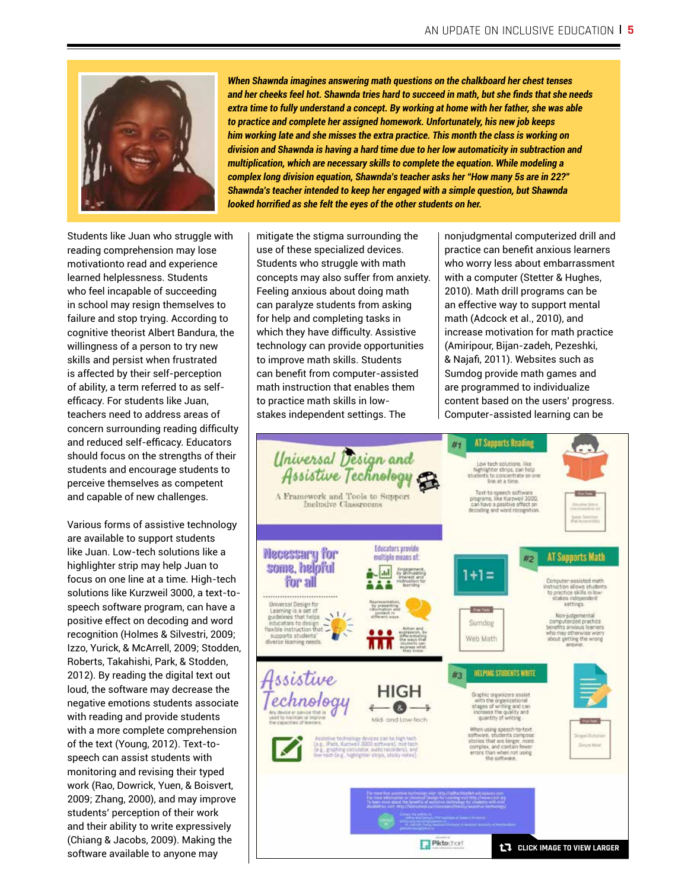

may mitigate the stigma surrounding the use of these specialized devices.

Students like Juan who struggle with reading comprehension may lose | use of these specialized device motivationto read and experience **busing in the summation** learned helplessness. Students who feel incapable of succeeding | Feeling anxious about doing in school may resign themselves to  $\qquad \mid \;$  can paralyze students from failure and stop trying. According to cognitive theorist Albert Bandura, the willingness of a person to try new skills and persist when frustrated is affected by their self-perception of ability, a term referred to as selfeffcacy. For students like Juan, teachers need to address areas of concern surrounding reading difficulty and reduced self-effcacy. Educators should focus on the strengths of their students and encourage students to perceive themselves as competent and capable of new challenges.

Various forms of assistive technology are available to support students like Juan. Low-tech solutions like a highlighter strip may help Juan to focus on one line at a time. High-tech solutions like Kurzweil 3000, a text-tospeech software program, can have a positive effect on decoding and word recognition (Holmes & Silvestri, 2009; Izzo, Yurick, & McArrell, 2009; Stodden, Roberts, Takahishi, Park, & Stodden, 2012). By reading the digital text out loud, the software may decrease the negative emotions students associate with reading and provide students with a more complete comprehension of the text (Young, 2012). Text-tospeech can assist students with monitoring and revising their typed work (Rao, Dowrick, Yuen, & Boisvert, 2009; Zhang, 2000), and may improve students' perception of their work and their ability to write expressively (Chiang & Jacobs, 2009). Making the software available to anyone may

questions oppositions on the change of the change of the change of the change of the change of the chest tenses When Shawnda imagines answering math questions on the chalkboard her chest tenses *and her cheeks feel hot. Shawnda tries hard to succeed in math, but she finds that she needs* extra time to fully understand a concept. By *extra time to fully understand a concept. By working at home with her father, she was able* working at home with her father, she was able with her father, she was able with her father, she was able was able was able with the she to practice and complete her assigned *to practice and complete her assigned homework. Unfortunately, his new job keeps* him working late and she misses the extra practice. This month the class is working on *division and Shawnda is having a hard time due to her low automaticity in subtraction and* practice. This month the class is working on multiplication, which are necessary skills to complete the equation. While modeling a complex long division equation, Shawnda's teacher asks her "How many 5s are in 22?" **Shawnda's teacher intended to keep her engaged with a simple question, but Shawnda** complete the equation. While modeling a *looked horrified as she felt the eyes of the other students on her.* 

h  $\parallel$  mitigate the stigma surrounding the use of these specialized devices. Students who struggle with math helplessness. Students and struggle concepts may also suffer from anxiety. Feeling anxious about doing math can paralyze students from asking for help and completing tasks in which they have difficulty. Assistive technology can provide opportunities to improve math skills. Students can beneft from computer-assisted math instruction that enables them to practice math skills in lowstakes independent settings. The  ${\sf n} \quad | \;$  mitigate the stigma surroundir

nonjudgmental computerized drill and practice can beneft anxious learners who worry less about embarrassment with a computer (Stetter & Hughes, 2010). Math drill programs can be an effective way to support mental math (Adcock et al., 2010), and increase motivation for math practice (Amiripour, Bijan-zadeh, Pezeshki, & Najaf, 2011). Websites such as Sumdog provide math games and are programmed to individualize content based on the users' progress. Computer-assisted learning can be

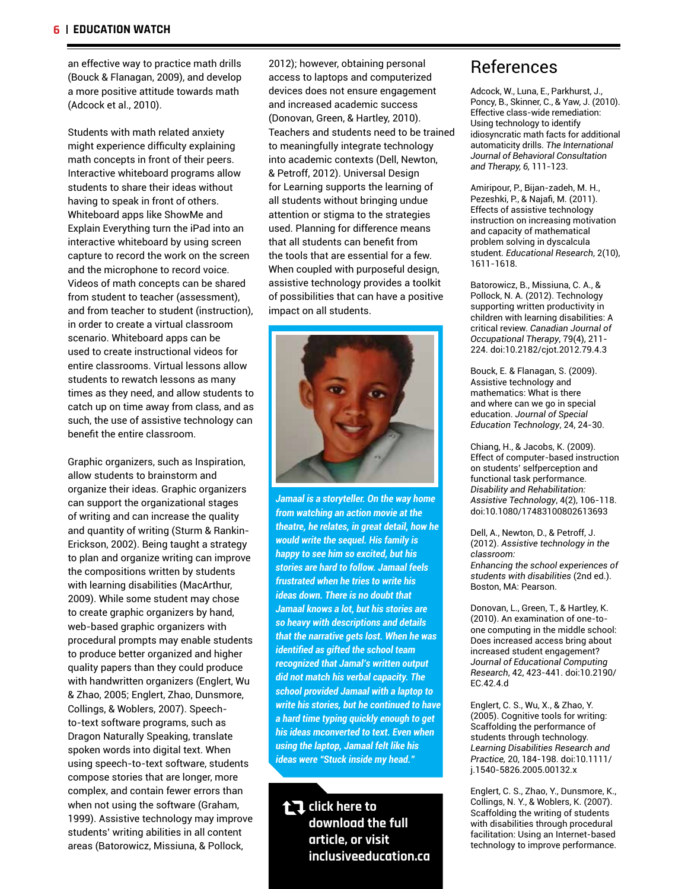an effective way to practice math drills (Bouck & Flanagan, 2009), and develop a more positive attitude towards math (Adcock et al., 2010).

Students with math related anxiety might experience diffculty explaining math concepts in front of their peers. Interactive whiteboard programs allow students to share their ideas without having to speak in front of others. Whiteboard apps like ShowMe and Explain Everything turn the iPad into an interactive whiteboard by using screen capture to record the work on the screen and the microphone to record voice. Videos of math concepts can be shared from student to teacher (assessment), and from teacher to student (instruction), in order to create a virtual classroom scenario. Whiteboard apps can be used to create instructional videos for entire classrooms. Virtual lessons allow students to rewatch lessons as many times as they need, and allow students to catch up on time away from class, and as such, the use of assistive technology can beneft the entire classroom.

Graphic organizers, such as Inspiration, allow students to brainstorm and organize their ideas. Graphic organizers can support the organizational stages of writing and can increase the quality and quantity of writing (Sturm & Rankin-Erickson, 2002). Being taught a strategy to plan and organize writing can improve the compositions written by students with learning disabilities (MacArthur, 2009). While some student may chose to create graphic organizers by hand, web-based graphic organizers with procedural prompts may enable students to produce better organized and higher quality papers than they could produce with handwritten organizers (Englert, Wu & Zhao, 2005; Englert, Zhao, Dunsmore, Collings, & Woblers, 2007). Speechto-text software programs, such as Dragon Naturally Speaking, translate spoken words into digital text. When using speech-to-text software, students compose stories that are longer, more complex, and contain fewer errors than when not using the software (Graham, 1999). Assistive technology may improve students' writing abilities in all content areas (Batorowicz, Missiuna, & Pollock,

2012); however, obtaining personal **References** access to laptops and computerized a computer  $\mathcal{L}$ devices does not ensure engagement Adcock, W., Luna, E., Parkhurst, J., and increased academic success **Fractice Poncy, B., Skinner, C., & Yaw, J.** (2011). (Donovan, Green, & Hartley, 2010). Effective class-wide remediation:<br>Union toobpology to identify Content of the contents of the users of the users' content based on the users' content of the content of the u<br>Contents and students need to be trained idiosyncratic math facts for additional to meaningfully integrate technology into academic contexts (Dell, Newton, & Petroff, 2012). Universal Design and the cancer which programs allow students to share which programs to share to share to share to share to share to share to share to share to share to share to share to share to share t for Learning supports the learning of anticlean approximation. As in fact, M. H., all students without bringing undue Pezeshki, P., & Najafi, M. (2011). attention or stigma to the strategies<br>instruction on preceding methods instruction on increasing motivation<br>and canacity of mathematical increases can be the shared to teacher to teacher to the student use of the studen about that interests can be create a virtual capacity of indifferentiation<br>that all students can benefit from the used of problem solving in dyscalcula the tools that are essential for a few.<br> $\frac{311-1618}{1611-1618}$ When coupled with purposeful design, the user tentire controls. assistive technology provides a toolkit of possibilities that can have a positive impact on all students. 2012); however, obtaining personal **References** reactive and creactive rice to be trained and spitulate math racts for additional **to** meaningfully integrate technology automaticity drills. The International adernic contexts (Deli, Newton, and Therapy, 6, 111-123. that an students can benefit nother the problem solving in dyscalcula<br>the tools that are essential for a few student. Educational Research, 2(10),



**Enhancing the school experiences of startegy to plan and the school experiences of students are hand to follow callular recipe** students with disabilities (2nd ed.). E indicated with the three to write the graphic organization. Boston, MA: Pearson. **Jamaal is a storyteller. On the way home** Assistive Tech *from watching an action movie at the* theatre, he relates, in great detail, how he **Graphic organizers, and organizers** to be and organized to be and o **EXECUTE IDEAS. WOULD WRITE IDEAS.** Would write the sequel. His family is **the organization** (2012) Assistive technology in the *happy to see him so excited, but his* elassroom: *stories are hard to follow. Jamaal feels frustrated when he tries to write his ideas down. There is no doubt that Jamaal knows a lot, but his stories are so heavy with descriptions and details that the narrative gets lost. When he was identifed as gifted the school team recognized that Jamal's written output did not match his verbal capacity. The school provided Jamaal with a laptop to write his stories, but he continued to have a hard time typing quickly enough to get his ideas mconverted to text. Even when using the laptop, Jamaal felt like his ideas were "Stuck inside my head."*

**click here to download the full article, or visit inclusiveeducation.ca**

improve math skills. Students can benefit from computer-assisted math instruction that

Adcock, W., Luna, E., Parkhurst, J., Poncy, B., Skinner, C., & Yaw, J. (2010). Effective class-wide remediation: Using technology to identify idiosyncratic math facts for additional *Journal of Behavioral Consultation* 

Amiripour, P., Bijan-zadeh, M. H., Pezeshki, P., & Najaf, M. (2011). Effects of assistive technology instruction on increasing motivation and capacity of mathematical problem solving in dyscalcula 1611-1618.

Batorowicz, B., Missiuna, C. A., & Pollock, N. A. (2012). Technology supporting written productivity in children with learning disabilities: A<br>suities, writing Occordians Jacques of the critical review. *Canadian Journal of Occupational Therapy*, 79(4), 211- would write the sequel. His family is happy  $\frac{1}{224}$ . doi:10.2182/cjot.2012.79.4.3 to follow for following from the fact that  $\frac{1}{2}$ 

Bouck, E. & Flanagan, S. (2009). Assistive technology and mathematics: What is there and where can we go in special education. *Journal of Special*<br>———————————————————— Education Technology, 24, 24-30.

Chiang, H., & Jacobs, K. (2009).  $P$  Effect of computer-based instruction on students' selfperception and functional task performance. Disability and Rehabilitation: *Assistive Technology*, 4(2), 106-118. doi:10.1080/17483100802613693

Dell, A., Newton, D., & Petroff, J. (2012). *Assistive technology in the classroom:*

Donovan, L., Green, T., & Hartley, K. (2010). An examination of one-toone computing in the middle school: Does increased access bring about increased student engagement? *Journal of Educational Computing Research*, 42, 423-441. doi:10.2190/ EC.42.4.d

Englert, C. S., Wu, X., & Zhao, Y. (2005). Cognitive tools for writing: Scaffolding the performance of students through technology. *Learning Disabilities Research and Practice,* 20, 184-198. doi:10.1111/ j.1540-5826.2005.00132.x

Englert, C. S., Zhao, Y., Dunsmore, K., Collings, N. Y., & Woblers, K. (2007). Scaffolding the writing of students with disabilities through procedural facilitation: Using an Internet-based technology to improve performance.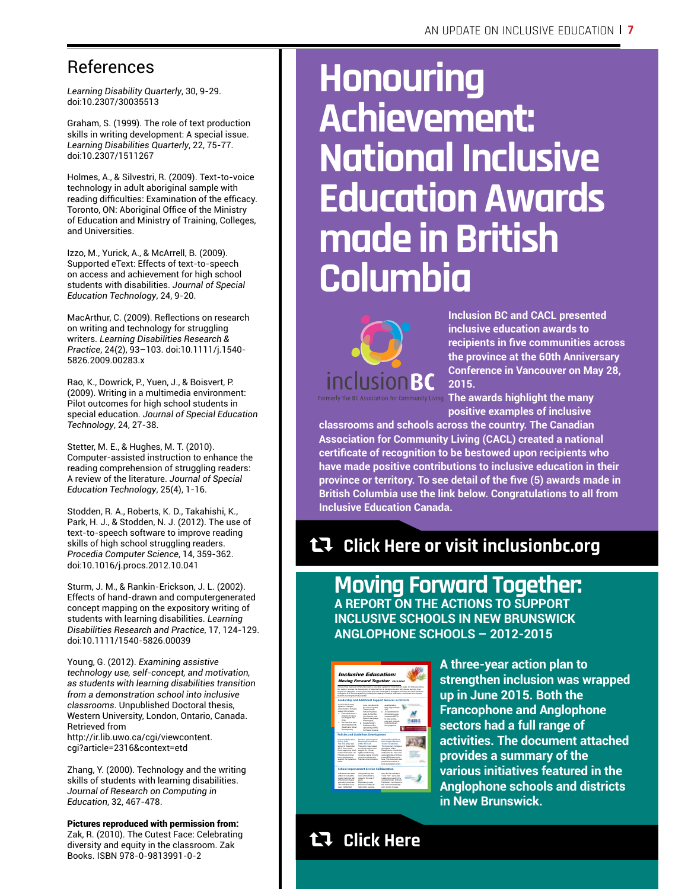### References

*Learning Disability Quarterly*, 30, 9-29. doi:10.2307/30035513

Graham, S. (1999). The role of text production skills in writing development: A special issue. *Learning Disabilities Quarterly*, 22, 75-77. doi:10.2307/1511267

Holmes, A., & Silvestri, R. (2009). Text-to-voice technology in adult aboriginal sample with reading difficulties: Examination of the efficacy. Toronto, ON: Aboriginal Office of the Ministry of Education and Ministry of Training, Colleges, and Universities.

Izzo, M., Yurick, A., & McArrell, B. (2009). Supported eText: Effects of text-to-speech on access and achievement for high school students with disabilities. *Journal of Special Education Technology*, 24, 9-20.

MacArthur, C. (2009). Reflections on research on writing and technology for struggling writers. *Learning Disabilities Research & Practice*, 24(2), 93–103. doi:10.1111/j.1540- 5826.2009.00283.x

Rao, K., Dowrick, P., Yuen, J., & Boisvert, P. (2009). Writing in a multimedia environment: Pilot outcomes for high school students in special education. *Journal of Special Education Technology*, 24, 27-38.

Stetter, M. E., & Hughes, M. T. (2010). Computer-assisted instruction to enhance the reading comprehension of struggling readers: A review of the literature. *Journal of Special Education Technology*, 25(4), 1-16.

Stodden, R. A., Roberts, K. D., Takahishi, K., Park, H. J., & Stodden, N. J. (2012). The use of text-to-speech software to improve reading skills of high school struggling readers. *Procedia Computer Science*, 14, 359-362. doi:10.1016/j.procs.2012.10.041

Sturm, J. M., & Rankin-Erickson, J. L. (2002). Effects of hand-drawn and computergenerated concept mapping on the expository writing of students with learning disabilities. *Learning Disabilities Research and Practice*, 17, 124-129. doi:10.1111/1540-5826.00039

Young, G. (2012). *Examining assistive technology use, self-concept, and motivation, as students with learning disabilities transition from a demonstration school into inclusive classrooms*. Unpublished Doctoral thesis, Western University, London, Ontario, Canada. Retrieved from http://ir.lib.uwo.ca/cgi/viewcontent. cgi?article=2316&context=etd

Zhang, Y. (2000). Technology and the writing skills of students with learning disabilities. *Journal of Research on Computing in Education*, 32, 467-478.

Pictures reproduced with permission from: Zak, R. (2010). The Cutest Face: Celebrating diversity and equity in the classroom. Zak Books. ISBN 978-0-9813991-0-2

## **Honouring Achievement: National Inclusive Education Awards made in British Columbia**



**Inclusion BC and CACL presented inclusive education awards to recipients in fve communities across the province at the 60th Anniversary Conference in Vancouver on May 28, 2015.**

**The awards highlight the many positive examples of inclusive** 

**classrooms and schools across the country. The Canadian Association for Community Living (CACL) created a national certifcate of recognition to be bestowed upon recipients who have made positive contributions to inclusive education in their province or territory. To see detail of the fve (5) awards made in British Columbia use the link below. Congratulations to all from Inclusive Education Canada.**

## h **Click Here or visit inclusionbc.org**

**Moving Forward Together:** 

**A REPORT ON THE ACTIONS TO SUPPORT INCLUSIVE SCHOOLS IN NEW BRUNSWICK ANGLOPHONE SCHOOLS – 2012-2015** 

| <b>Inclusive Education:</b><br><b>Moving Forward Together 2012-2015</b>                                                                                                                                                                                                                                                                                                                                                                                                                                            |                                                                                                                                                   |                                                                                                                                                                                                             |  |
|--------------------------------------------------------------------------------------------------------------------------------------------------------------------------------------------------------------------------------------------------------------------------------------------------------------------------------------------------------------------------------------------------------------------------------------------------------------------------------------------------------------------|---------------------------------------------------------------------------------------------------------------------------------------------------|-------------------------------------------------------------------------------------------------------------------------------------------------------------------------------------------------------------|--|
| Inclusion has been part of New Brunswick's education system for more than 25 years. As inclusive educa-<br>fion system nurbines the development of students from all backgrounds and with diverse learning char-<br>lenges and strengths. A three-year action plan was developed to strengther inclusive education practices.<br>throughout N.B. 's school eveters by building the capacity of inaders, educators, and others who suggest<br>students reaching their full potential.<br><br>---------------------- |                                                                                                                                                   |                                                                                                                                                                                                             |  |
|                                                                                                                                                                                                                                                                                                                                                                                                                                                                                                                    |                                                                                                                                                   | Leadership and Additional Support Services in Districts                                                                                                                                                     |  |
| In 2012-2013 many<br>sydemic changes.<br>www.marketh.com<br>support for schools.<br>· Eachdigionaux<br>Pinemar of Educa-<br>San Suggest Ser-<br>draw.                                                                                                                                                                                                                                                                                                                                                              | were transferred to<br>the article authors<br>These include<br>School Psycholo-<br>gists, School So-<br>Gill Workers, and<br>Speech-Language      | extensional of<br>large high schools<br>ai.<br>A Conciliation for<br>Arti-bulhing was<br>created at \$\$CD<br>to cales aware-                                                                               |  |
| Senioras that were<br>other departments<br>Health and Social                                                                                                                                                                                                                                                                                                                                                                                                                                                       | Pathologists.<br>Supplementary<br><b><i><u><u><u>Englisher</u></u></u></i></b> of Rev-<br>sponsibility (SPR)                                      | ness and promote<br>bulhing preven-<br>tion programs.                                                                                                                                                       |  |
| <b>Developments</b>                                                                                                                                                                                                                                                                                                                                                                                                                                                                                                | for Resource were                                                                                                                                 |                                                                                                                                                                                                             |  |
| Industry Education<br>Publicy (332)                                                                                                                                                                                                                                                                                                                                                                                                                                                                                | <b>Policies and Guidelines Development</b><br>Positive Learning and<br>Working Environment                                                        | <b>School Based Educa-</b><br><b>Son Support Services</b>                                                                                                                                                   |  |
| This new action was<br>signed in September<br>2013, Prior to Bill.<br>there was a grow a def-<br>inter-of-indusers. An                                                                                                                                                                                                                                                                                                                                                                                             | (702) Revised<br>This policy was revised<br>to include respect and<br>support for frument<br>rights and diversity.                                | Texas Cuidebase<br>The document includes a<br>description of the<br>Response to Intervention<br>model and the spire and                                                                                     |  |
| EAC documentate<br>been developed to<br>support the implemen-<br>tation.                                                                                                                                                                                                                                                                                                                                                                                                                                           | induding sessai minority<br>youth and others who<br>may face discrimination.                                                                      | MANAGEMENT AT A PLAN.<br>based ESS team mem-<br>ham The document was<br>provided to schools in<br>arist and poded order.                                                                                    |  |
| <b>School Improvement Service Collaboration</b>                                                                                                                                                                                                                                                                                                                                                                                                                                                                    |                                                                                                                                                   |                                                                                                                                                                                                             |  |
| Indicators have been<br>added or revised to<br>support schools with<br>enhancing inclusive<br>education practices.<br>The indication have<br>been highlighted                                                                                                                                                                                                                                                                                                                                                      | during training sea-<br>signs and school re-<br>year for the cost 3<br>vears.<br>Explanatory notes<br>have been added to<br>help clarify expecta- | tions for the indicators.<br>Look Ford' were also<br>custom hand count in this<br><b>Inview orderes, Indusian</b><br>Facilitation contributed to<br><b>THI HON and participat-</b><br>art in arthred modern |  |
|                                                                                                                                                                                                                                                                                                                                                                                                                                                                                                                    |                                                                                                                                                   |                                                                                                                                                                                                             |  |

**A three-year action plan to strengthen inclusion was wrapped up in June 2015. Both the Francophone and Anglophone sectors had a full range of activities. The document attached provides a summary of the various initiatives featured in the Anglophone schools and districts in New Brunswick.** 

## h **Click Here**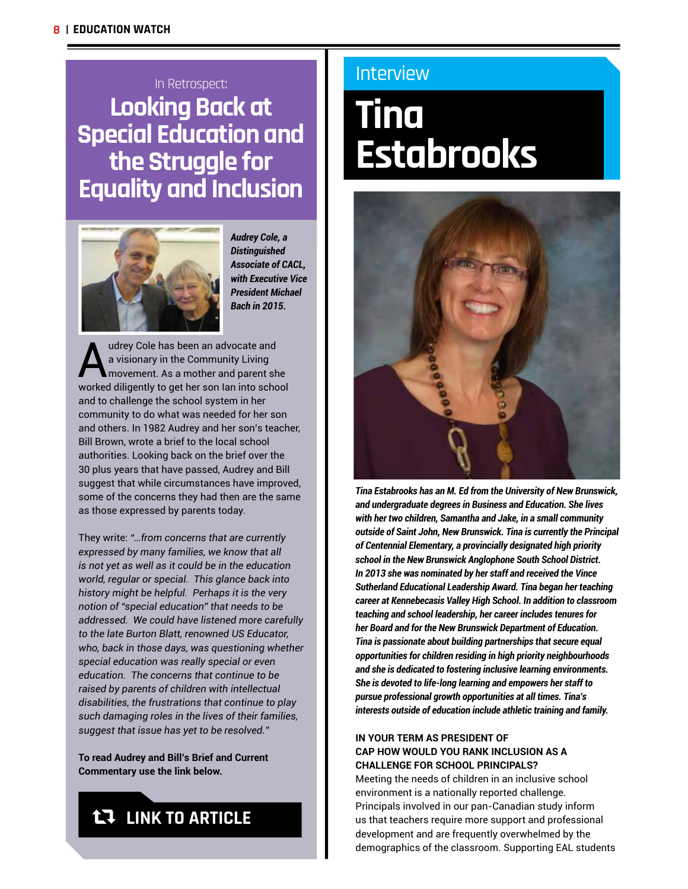## In Retrospect: **Looking Back at Special Education and the Struggle for Equality and Inclusion**



*Audrey Cole, a Distinguished Associate of CACL, with Executive Vice President Michael Bach in 2015.*

Audrey Cole has been an advocate and<br>a visionary in the Community Living<br>movement. As a mother and parent sh<br>worked diligently to get ber son lon into sobe a visionary in the Community Living movement. As a mother and parent she worked diligently to get her son Ian into school and to challenge the school system in her community to do what was needed for her son and others. In 1982 Audrey and her son's teacher, Bill Brown, wrote a brief to the local school authorities. Looking back on the brief over the 30 plus years that have passed, Audrey and Bill suggest that while circumstances have improved, some of the concerns they had then are the same as those expressed by parents today.

They write: *"…from concerns that are currently expressed by many families, we know that all is not yet as well as it could be in the education world, regular or special. This glance back into history might be helpful. Perhaps it is the very notion of "special education" that needs to be addressed. We could have listened more carefully to the late Burton Blatt, renowned US Educator, who, back in those days, was questioning whether special education was really special or even education. The concerns that continue to be raised by parents of children with intellectual disabilities, the frustrations that continue to play such damaging roles in the lives of their families, suggest that issue has yet to be resolved."*

**To read Audrey and Bill's Brief and Current Commentary use the link below.** 

## **t.7 LINK TO ARTICLE**

### Interview

## **Tina Estabrooks**



*Tina Estabrooks has an M. Ed from the University of New Brunswick, and undergraduate degrees in Business and Education. She lives with her two children, Samantha and Jake, in a small community outside of Saint John, New Brunswick. Tina is currently the Principal of Centennial Elementary, a provincially designated high priority school in the New Brunswick Anglophone South School District. In 2013 she was nominated by her staff and received the Vince Sutherland Educational Leadership Award. Tina began her teaching career at Kennebecasis Valley High School. In addition to classroom teaching and school leadership, her career includes tenures for her Board and for the New Brunswick Department of Education. Tina is passionate about building partnerships that secure equal opportunities for children residing in high priority neighbourhoods and she is dedicated to fostering inclusive learning environments. She is devoted to life-long learning and empowers her staff to pursue professional growth opportunities at all times. Tina's interests outside of education include athletic training and family.*

#### **IN YOUR TERM AS PRESIDENT OF CAP HOW WOULD YOU RANK INCLUSION AS A CHALLENGE FOR SCHOOL PRINCIPALS?**

Meeting the needs of children in an inclusive school environment is a nationally reported challenge. Principals involved in our pan-Canadian study inform us that teachers require more support and professional development and are frequently overwhelmed by the demographics of the classroom. Supporting EAL students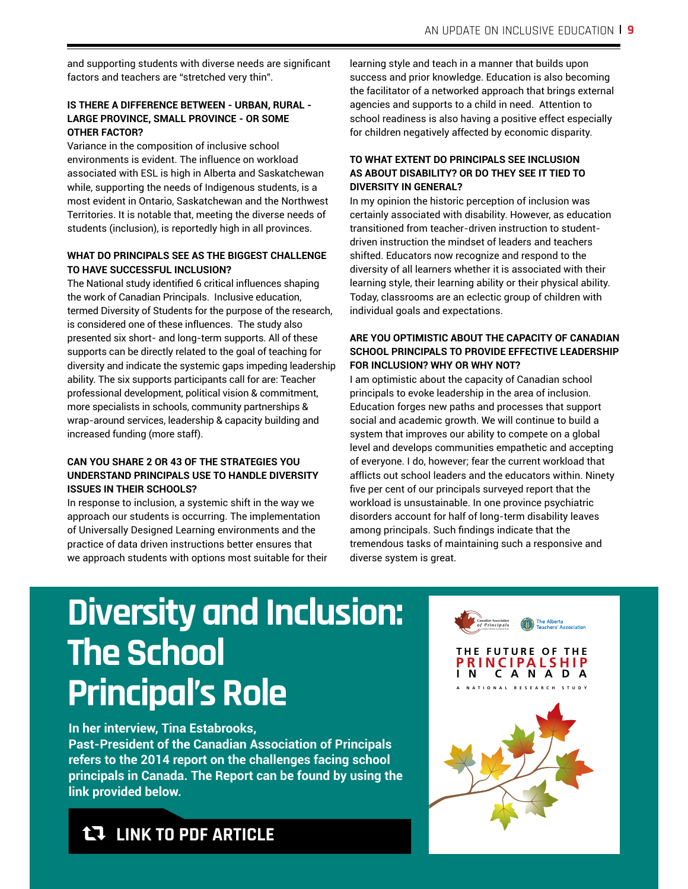and supporting students with diverse needs are signifcant factors and teachers are "stretched very thin".

#### **IS THERE A DIFFERENCE BETWEEN - URBAN, RURAL - LARGE PROVINCE, SMALL PROVINCE - OR SOME OTHER FACTOR?**

Variance in the composition of inclusive school environments is evident. The influence on workload associated with ESL is high in Alberta and Saskatchewan while, supporting the needs of Indigenous students, is a most evident in Ontario, Saskatchewan and the Northwest Territories. It is notable that, meeting the diverse needs of students (inclusion), is reportedly high in all provinces.

#### **WHAT DO PRINCIPALS SEE AS THE BIGGEST CHALLENGE TO HAVE SUCCESSFUL INCLUSION?**

The National study identifed 6 critical influences shaping the work of Canadian Principals. Inclusive education, termed Diversity of Students for the purpose of the research, is considered one of these influences. The study also presented six short- and long-term supports. All of these supports can be directly related to the goal of teaching for diversity and indicate the systemic gaps impeding leadership ability. The six supports participants call for are: Teacher professional development, political vision & commitment, more specialists in schools, community partnerships & wrap-around services, leadership & capacity building and increased funding (more staff).

#### **CAN YOU SHARE 2 OR 43 OF THE STRATEGIES YOU UNDERSTAND PRINCIPALS USE TO HANDLE DIVERSITY ISSUES IN THEIR SCHOOLS?**

In response to inclusion, a systemic shift in the way we approach our students is occurring. The implementation of Universally Designed Learning environments and the practice of data driven instructions better ensures that we approach students with options most suitable for their

learning style and teach in a manner that builds upon success and prior knowledge. Education is also becoming the facilitator of a networked approach that brings external agencies and supports to a child in need. Attention to school readiness is also having a positive effect especially for children negatively affected by economic disparity.

#### **TO WHAT EXTENT DO PRINCIPALS SEE INCLUSION AS ABOUT DISABILITY? OR DO THEY SEE IT TIED TO DIVERSITY IN GENERAL?**

In my opinion the historic perception of inclusion was certainly associated with disability. However, as education transitioned from teacher-driven instruction to studentdriven instruction the mindset of leaders and teachers shifted. Educators now recognize and respond to the diversity of all learners whether it is associated with their learning style, their learning ability or their physical ability. Today, classrooms are an eclectic group of children with individual goals and expectations.

#### **ARE YOU OPTIMISTIC ABOUT THE CAPACITY OF CANADIAN SCHOOL PRINCIPALS TO PROVIDE EFFECTIVE LEADERSHIP FOR INCLUSION? WHY OR WHY NOT?**

I am optimistic about the capacity of Canadian school principals to evoke leadership in the area of inclusion. Education forges new paths and processes that support social and academic growth. We will continue to build a system that improves our ability to compete on a global level and develops communities empathetic and accepting of everyone. I do, however; fear the current workload that afflicts out school leaders and the educators within. Ninety fve per cent of our principals surveyed report that the workload is unsustainable. In one province psychiatric disorders account for half of long-term disability leaves among principals. Such fndings indicate that the tremendous tasks of maintaining such a responsive and diverse system is great.

## **Diversity and Inclusion: The School Principal's Role**

**In her interview, Tina Estabrooks,**

**Past-President of the Canadian Association of Principals refers to the 2014 report on the challenges facing school principals in Canada. The Report can be found by using the link provided below.**



### **LT LINK TO PDF ARTICLE**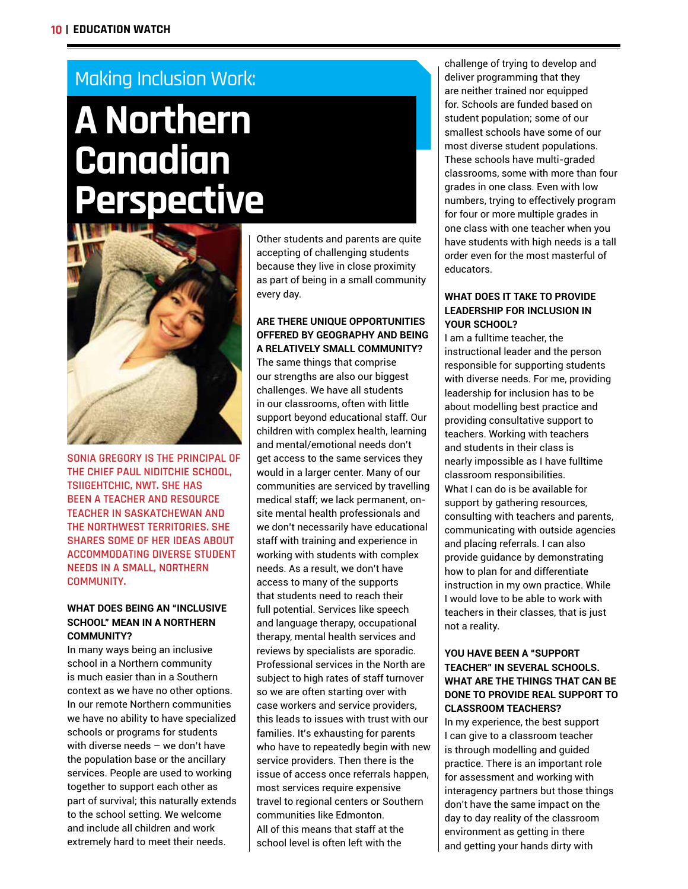### Making Inclusion Work:

## **A Northern Canadian Perspective**



**SONIA GREGORY IS THE PRINCIPAL OF THE CHIEF PAUL NIDITCHIE SCHOOL, TSIIGEHTCHIC, NWT. SHE HAS BEEN A TEACHER AND RESOURCE TEACHER IN SASKATCHEWAN AND THE NORTHWEST TERRITORIES. SHE SHARES SOME OF HER IDEAS ABOUT ACCOMMODATING DIVERSE STUDENT NEEDS IN A SMALL, NORTHERN COMMUNITY.**

#### **WHAT DOES BEING AN "INCLUSIVE SCHOOL" MEAN IN A NORTHERN COMMUNITY?**

In many ways being an inclusive school in a Northern community is much easier than in a Southern context as we have no other options. In our remote Northern communities we have no ability to have specialized schools or programs for students with diverse needs – we don't have the population base or the ancillary services. People are used to working together to support each other as part of survival; this naturally extends to the school setting. We welcome and include all children and work extremely hard to meet their needs.

Other students and parents are quite accepting of challenging students because they live in close proximity as part of being in a small community every day.

#### **ARE THERE UNIQUE OPPORTUNITIES OFFERED BY GEOGRAPHY AND BEING A RELATIVELY SMALL COMMUNITY?**

The same things that comprise our strengths are also our biggest challenges. We have all students in our classrooms, often with little support beyond educational staff. Our children with complex health, learning and mental/emotional needs don't get access to the same services they would in a larger center. Many of our communities are serviced by travelling medical staff; we lack permanent, onsite mental health professionals and we don't necessarily have educational staff with training and experience in working with students with complex needs. As a result, we don't have access to many of the supports that students need to reach their full potential. Services like speech and language therapy, occupational therapy, mental health services and reviews by specialists are sporadic. Professional services in the North are subject to high rates of staff turnover so we are often starting over with case workers and service providers, this leads to issues with trust with our families. It's exhausting for parents who have to repeatedly begin with new service providers. Then there is the issue of access once referrals happen, most services require expensive travel to regional centers or Southern communities like Edmonton. All of this means that staff at the school level is often left with the

challenge of trying to develop and deliver programming that they are neither trained nor equipped for. Schools are funded based on student population; some of our smallest schools have some of our most diverse student populations. These schools have multi-graded classrooms, some with more than four grades in one class. Even with low numbers, trying to effectively program for four or more multiple grades in one class with one teacher when you have students with high needs is a tall order even for the most masterful of educators.

#### **WHAT DOES IT TAKE TO PROVIDE LEADERSHIP FOR INCLUSION IN YOUR SCHOOL?**

I am a fulltime teacher, the instructional leader and the person responsible for supporting students with diverse needs. For me, providing leadership for inclusion has to be about modelling best practice and providing consultative support to teachers. Working with teachers and students in their class is nearly impossible as I have fulltime classroom responsibilities. What I can do is be available for support by gathering resources, consulting with teachers and parents, communicating with outside agencies and placing referrals. I can also provide guidance by demonstrating how to plan for and differentiate instruction in my own practice. While I would love to be able to work with teachers in their classes, that is just not a reality.

#### **YOU HAVE BEEN A "SUPPORT TEACHER" IN SEVERAL SCHOOLS. WHAT ARE THE THINGS THAT CAN BE DONE TO PROVIDE REAL SUPPORT TO CLASSROOM TEACHERS?**

In my experience, the best support I can give to a classroom teacher is through modelling and guided practice. There is an important role for assessment and working with interagency partners but those things don't have the same impact on the day to day reality of the classroom environment as getting in there and getting your hands dirty with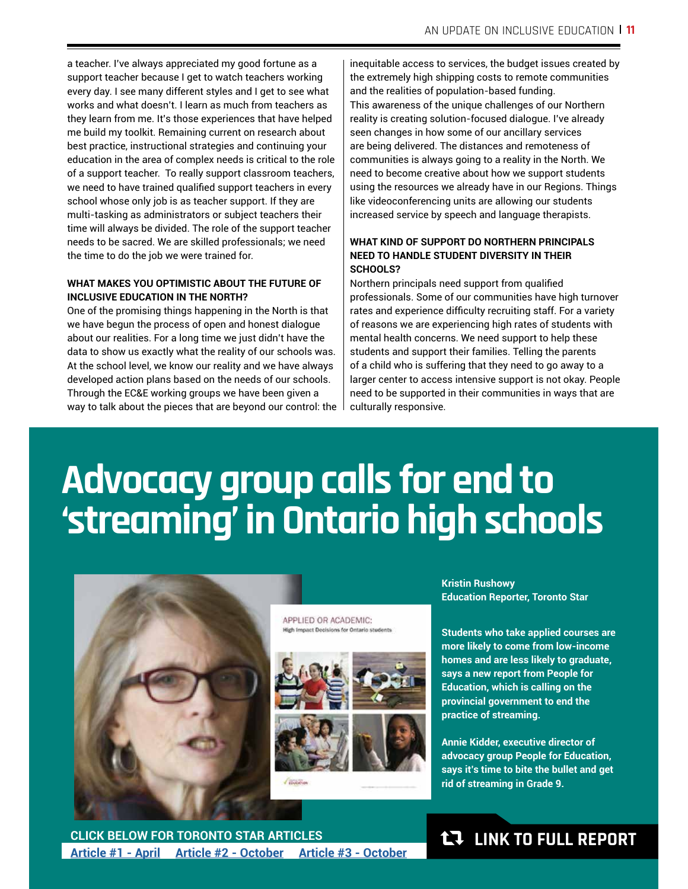a teacher. I've always appreciated my good fortune as a support teacher because I get to watch teachers working every day. I see many different styles and I get to see what works and what doesn't. I learn as much from teachers as they learn from me. It's those experiences that have helped me build my toolkit. Remaining current on research about best practice, instructional strategies and continuing your education in the area of complex needs is critical to the role of a support teacher. To really support classroom teachers, we need to have trained qualifed support teachers in every school whose only job is as teacher support. If they are multi-tasking as administrators or subject teachers their time will always be divided. The role of the support teacher needs to be sacred. We are skilled professionals; we need the time to do the job we were trained for.

#### **WHAT MAKES YOU OPTIMISTIC ABOUT THE FUTURE OF INCLUSIVE EDUCATION IN THE NORTH?**

One of the promising things happening in the North is that we have begun the process of open and honest dialogue about our realities. For a long time we just didn't have the data to show us exactly what the reality of our schools was. At the school level, we know our reality and we have always developed action plans based on the needs of our schools. Through the EC&E working groups we have been given a way to talk about the pieces that are beyond our control: the inequitable access to services, the budget issues created by the extremely high shipping costs to remote communities and the realities of population-based funding. This awareness of the unique challenges of our Northern reality is creating solution-focused dialogue. I've already seen changes in how some of our ancillary services are being delivered. The distances and remoteness of communities is always going to a reality in the North. We need to become creative about how we support students using the resources we already have in our Regions. Things like videoconferencing units are allowing our students increased service by speech and language therapists.

#### **WHAT KIND OF SUPPORT DO NORTHERN PRINCIPALS NEED TO HANDLE STUDENT DIVERSITY IN THEIR SCHOOLS?**

Northern principals need support from qualifed professionals. Some of our communities have high turnover rates and experience difficulty recruiting staff. For a variety of reasons we are experiencing high rates of students with mental health concerns. We need support to help these students and support their families. Telling the parents of a child who is suffering that they need to go away to a larger center to access intensive support is not okay. People need to be supported in their communities in ways that are culturally responsive.

## **Advocacy group calls for end to 'streaming' in Ontario high schools**



APPLIED OR ACADEMIC: High Impact Decisions for Ontario stude



**Kristin Rushowy Education Reporter, Toronto Star**

**Students who take applied courses are more likely to come from low-income homes and are less likely to graduate, says a new report from People for Education, which is calling on the provincial government to end the practice of streaming.**

**Annie Kidder, executive director of advocacy group People for Education, says it's time to bite the bullet and get rid of streaming in Grade 9.**

**CLICK BELOW FOR TORONTO STAR ARTICLES Article #1 - April Article #2 - October Article #3 - October**

### **LT LINK TO FULL REPORT**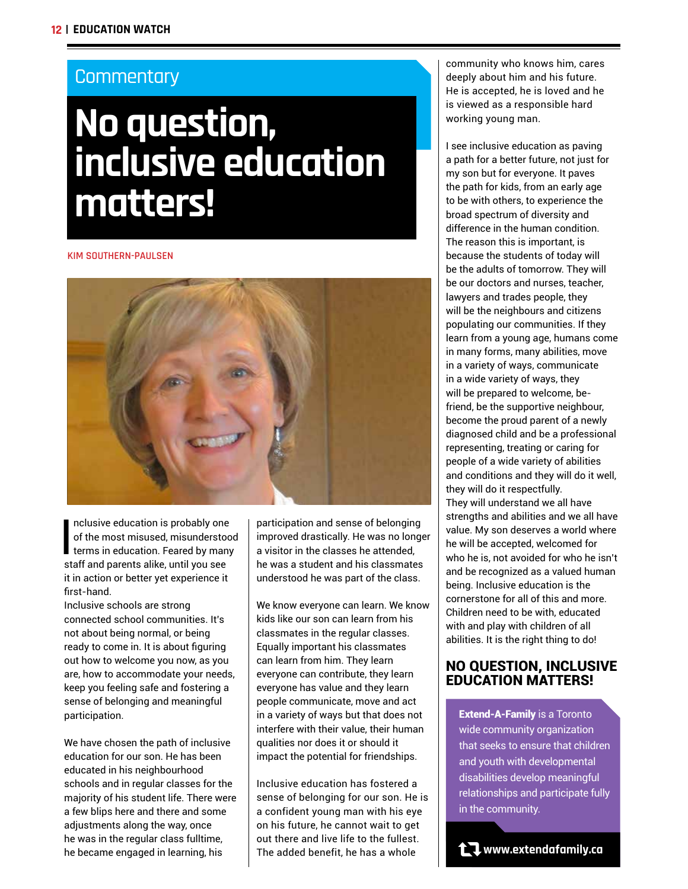### **Commentary**

## **No question, inclusive education matters!**

#### **KIM SOUTHERN-PAULSEN**



I<br>I<br>I<br>I nclusive education is probably one of the most misused, misunderstood terms in education. Feared by many staff and parents alike, until you see it in action or better yet experience it first-hand.

Inclusive schools are strong connected school communities. It's not about being normal, or being ready to come in. It is about figuring out how to welcome you now, as you are, how to accommodate your needs, keep you feeling safe and fostering a sense of belonging and meaningful participation.

We have chosen the path of inclusive education for our son. He has been educated in his neighbourhood schools and in regular classes for the majority of his student life. There were a few blips here and there and some adjustments along the way, once he was in the regular class fulltime, he became engaged in learning, his

participation and sense of belonging improved drastically. He was no longer a visitor in the classes he attended, he was a student and his classmates understood he was part of the class.

We know everyone can learn. We know kids like our son can learn from his classmates in the regular classes. Equally important his classmates can learn from him. They learn everyone can contribute, they learn everyone has value and they learn people communicate, move and act in a variety of ways but that does not interfere with their value, their human qualities nor does it or should it impact the potential for friendships.

Inclusive education has fostered a sense of belonging for our son. He is a confident young man with his eye on his future, he cannot wait to get out there and live life to the fullest. The added benefit, he has a whole

community who knows him, cares deeply about him and his future. He is accepted, he is loved and he is viewed as a responsible hard working young man.

I see inclusive education as paving a path for a better future, not just for my son but for everyone. It paves the path for kids, from an early age to be with others, to experience the broad spectrum of diversity and difference in the human condition. The reason this is important, is because the students of today will be the adults of tomorrow. They will be our doctors and nurses, teacher, lawyers and trades people, they will be the neighbours and citizens populating our communities. If they learn from a young age, humans come in many forms, many abilities, move in a variety of ways, communicate in a wide variety of ways, they will be prepared to welcome, befriend, be the supportive neighbour, become the proud parent of a newly diagnosed child and be a professional representing, treating or caring for people of a wide variety of abilities and conditions and they will do it well, they will do it respectfully. They will understand we all have strengths and abilities and we all have value. My son deserves a world where he will be accepted, welcomed for who he is, not avoided for who he isn't and be recognized as a valued human being. Inclusive education is the cornerstone for all of this and more. Children need to be with, educated with and play with children of all abilities. It is the right thing to do!

#### NO QUESTION, INCLUSIVE EDUCATION MATTERS!

Extend-A-Family is a Toronto wide community organization that seeks to ensure that children and youth with developmental disabilities develop meaningful relationships and participate fully in the community.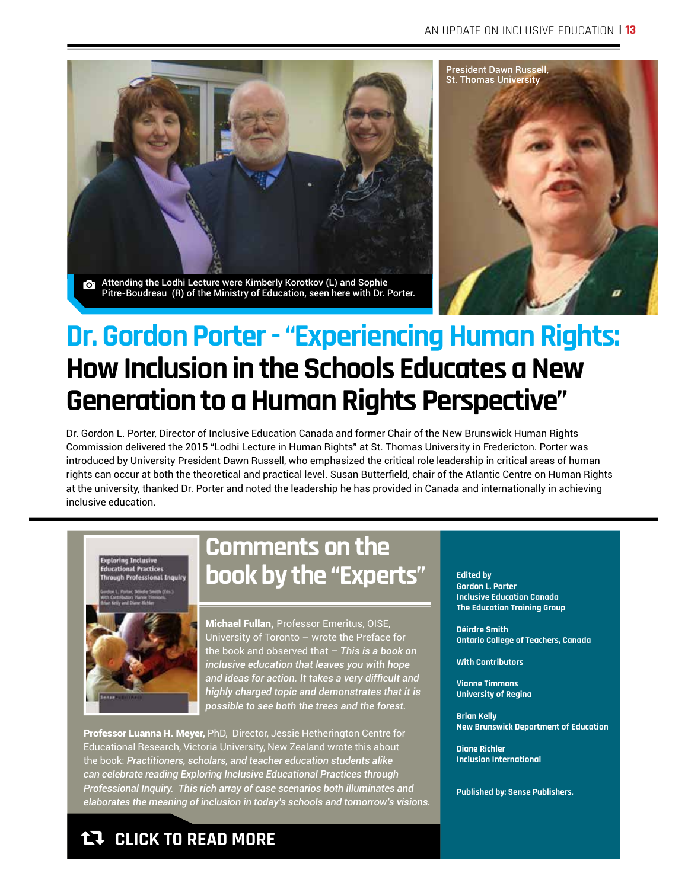

Attending the Lodhi Lecture were Kimberly Korotkov (L) and Sophie Pitre-Boudreau (R) of the Ministry of Education, seen here with Dr. Porter.



## **Dr. Gordon Porter - "Experiencing Human Rights: How Inclusion in the Schools Educates a New Generation to a Human Rights Perspective"**

Dr. Gordon L. Porter, Director of Inclusive Education Canada and former Chair of the New Brunswick Human Rights Commission delivered the 2015 "Lodhi Lecture in Human Rights" at St. Thomas University in Fredericton. Porter was introduced by University President Dawn Russell, who emphasized the critical role leadership in critical areas of human rights can occur at both the theoretical and practical level. Susan Butterfeld, chair of the Atlantic Centre on Human Rights at the university, thanked Dr. Porter and noted the leadership he has provided in Canada and internationally in achieving inclusive education.



## **Comments on the book by the "Experts"**

Michael Fullan, Professor Emeritus, OISE, University of Toronto – wrote the Preface for the book and observed that – *This is a book on inclusive education that leaves you with hope and ideas for action. It takes a very diffcult and highly charged topic and demonstrates that it is possible to see both the trees and the forest.*

Professor Luanna H. Meyer, PhD, Director, Jessie Hetherington Centre for Educational Research, Victoria University, New Zealand wrote this about the book: *Practitioners, scholars, and teacher education students alike can celebrate reading Exploring Inclusive Educational Practices through Professional Inquiry. This rich array of case scenarios both illuminates and elaborates the meaning of inclusion in today's schools and tomorrow's visions.* 

## h **CLICK TO READ MORE**

**Edited by Gordon L. Porter Inclusive Education Canada The Education Training Group**

**Déirdre Smith Ontario College of Teachers, Canada**

**With Contributors**

**Vianne Timmons University of Regina**

**Brian Kelly New Brunswick Department of Education**

**Diane Richler Inclusion International**

**Published by: Sense Publishers,**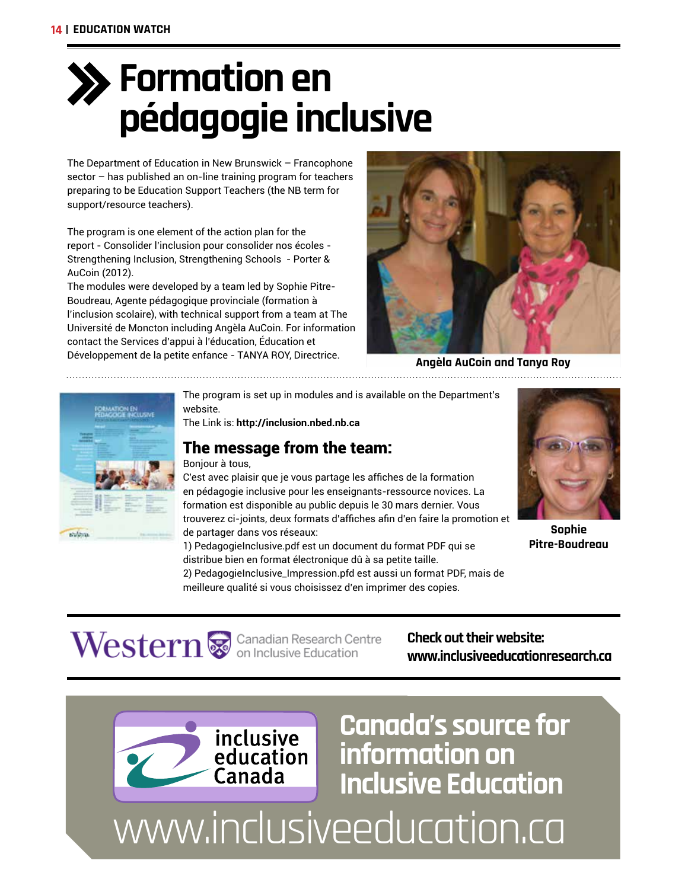## **Formation en pédagogie inclusive**

The Department of Education in New Brunswick – Francophone sector – has published an on-line training program for teachers preparing to be Education Support Teachers (the NB term for support/resource teachers).

The program is one element of the action plan for the report - Consolider l'inclusion pour consolider nos écoles - Strengthening Inclusion, Strengthening Schools - Porter & AuCoin (2012).

The modules were developed by a team led by Sophie Pitre-Boudreau, Agente pédagogique provinciale (formation à l'inclusion scolaire), with technical support from a team at The Université de Moncton including Angèla AuCoin. For information contact the Services d'appui à l'éducation, Éducation et Développement de la petite enfance - TANYA ROY, Directrice.



**Angèla AuCoin and Tanya Roy**



The program is set up in modules and is available on the Department's website.

The Link is: **http://inclusion.nbed.nb.ca** 

### The message from the team:

#### Bonjour à tous,

C'est avec plaisir que je vous partage les affches de la formation en pédagogie inclusive pour les enseignants-ressource novices. La formation est disponible au public depuis le 30 mars dernier. Vous trouverez ci-joints, deux formats d'affches afn d'en faire la promotion et de partager dans vos réseaux:

1) PedagogieInclusive.pdf est un document du format PDF qui se distribue bien en format électronique dû à sa petite taille.

2) PedagogieInclusive\_Impression.pfd est aussi un format PDF, mais de meilleure qualité si vous choisissez d'en imprimer des copies.



**Sophie Pitre-Boudreau**

 $\textbf{Western}$   $\ddot{\bullet}$  Canadian Research Centre

**Check out their website: www.inclusiveeducationresearch.ca**

**Canada's source for** 

**information on** 

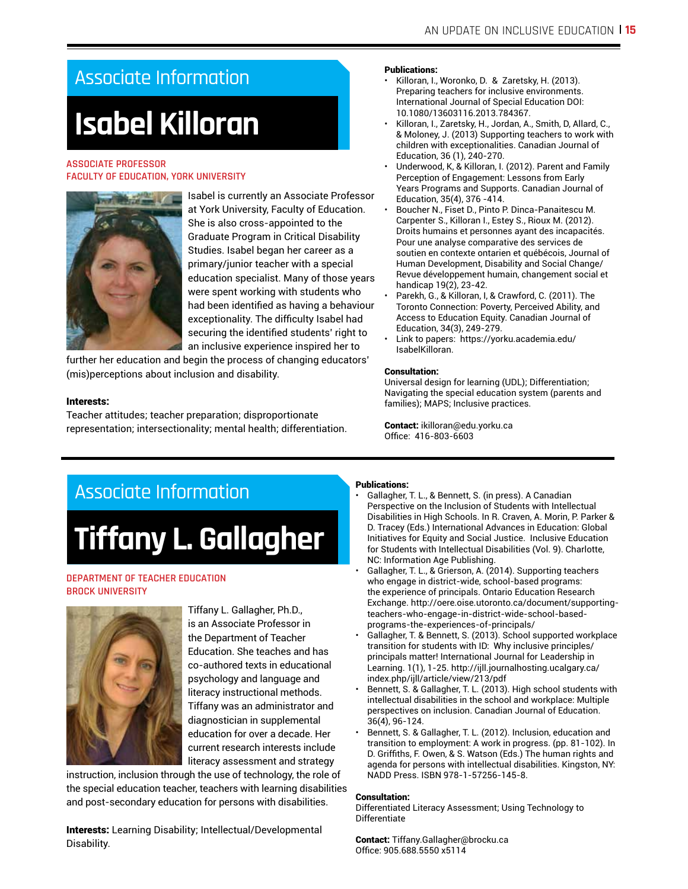## Associate Information

## **Isabel Killoran**

#### **ASSOCIATE PROFESSOR FACULTY OF EDUCATION, YORK UNIVERSITY**



Isabel is currently an Associate Professor at York University, Faculty of Education. She is also cross-appointed to the Graduate Program in Critical Disability Studies. Isabel began her career as a primary/junior teacher with a special education specialist. Many of those years were spent working with students who had been identifed as having a behaviour exceptionality. The difficulty Isabel had securing the identifed students' right to an inclusive experience inspired her to

further her education and begin the process of changing educators' (mis)perceptions about inclusion and disability.

#### Interests:

Teacher attitudes; teacher preparation; disproportionate representation; intersectionality; mental health; differentiation.

#### Publications:

- Killoran, I., Woronko, D. & Zaretsky, H. (2013). Preparing teachers for inclusive environments. International Journal of Special Education DOI: 10.1080/13603116.2013.784367.
- Killoran, I., Zaretsky, H., Jordan, A., Smith, D, Allard, C., & Moloney, J. (2013) Supporting teachers to work with children with exceptionalities. Canadian Journal of Education, 36 (1), 240-270.
- Underwood, K, & Killoran, I. (2012). Parent and Family Perception of Engagement: Lessons from Early Years Programs and Supports. Canadian Journal of Education, 35(4), 376 -414.
- Boucher N., Fiset D., Pinto P. Dinca-Panaitescu M. Carpenter S., Killoran I., Estey S., Rioux M. (2012). Droits humains et personnes ayant des incapacités. Pour une analyse comparative des services de soutien en contexte ontarien et québécois, Journal of Human Development, Disability and Social Change/ Revue développement humain, changement social et handicap 19(2), 23-42.
- Parekh, G., & Killoran, I, & Crawford, C. (2011). The Toronto Connection: Poverty, Perceived Ability, and Access to Education Equity. Canadian Journal of Education, 34(3), 249-279.
- Link to papers: https://yorku.academia.edu/ IsabelKilloran.

#### Consultation:

Universal design for learning (UDL); Differentiation; Navigating the special education system (parents and families); MAPS; Inclusive practices.

Contact: ikilloran@edu.yorku.ca Office: 416-803-6603

## Associate Information

## **Tiffany L. Gallagher**

#### **DEPARTMENT OF TEACHER EDUCATION BROCK UNIVERSITY**



Tiffany L. Gallagher, Ph.D., is an Associate Professor in the Department of Teacher Education. She teaches and has co-authored texts in educational psychology and language and literacy instructional methods. Tiffany was an administrator and diagnostician in supplemental education for over a decade. Her current research interests include literacy assessment and strategy

instruction, inclusion through the use of technology, the role of the special education teacher, teachers with learning disabilities and post-secondary education for persons with disabilities.

Interests: Learning Disability; Intellectual/Developmental Disability.

#### Publications:

- Gallagher, T. L., & Bennett, S. (in press). A Canadian Perspective on the Inclusion of Students with Intellectual Disabilities in High Schools. In R. Craven, A. Morin, P. Parker & D. Tracey (Eds.) International Advances in Education: Global Initiatives for Equity and Social Justice. Inclusive Education for Students with Intellectual Disabilities (Vol. 9). Charlotte, NC: Information Age Publishing.
- Gallagher, T. L., & Grierson, A. (2014). Supporting teachers who engage in district-wide, school-based programs: the experience of principals. Ontario Education Research Exchange. http://oere.oise.utoronto.ca/document/supportingteachers-who-engage-in-district-wide-school-basedprograms-the-experiences-of-principals/
- Gallagher, T. & Bennett, S. (2013). School supported workplace transition for students with ID: Why inclusive principles/ principals matter! International Journal for Leadership in Learning. 1(1), 1-25. http://ijll.journalhosting.ucalgary.ca/ index.php/ijll/article/view/213/pdf
- Bennett, S. & Gallagher, T. L. (2013). High school students with intellectual disabilities in the school and workplace: Multiple perspectives on inclusion. Canadian Journal of Education. 36(4), 96-124.
- Bennett, S. & Gallagher, T. L. (2012). Inclusion, education and transition to employment: A work in progress. (pp. 81-102). In D. Griffths, F. Owen, & S. Watson (Eds.) The human rights and agenda for persons with intellectual disabilities. Kingston, NY: NADD Press. ISBN 978-1-57256-145-8.

#### Consultation:

Differentiated Literacy Assessment; Using Technology to Differentiate

Contact: Tiffany.Gallagher@brocku.ca Office: 905.688.5550 x5114